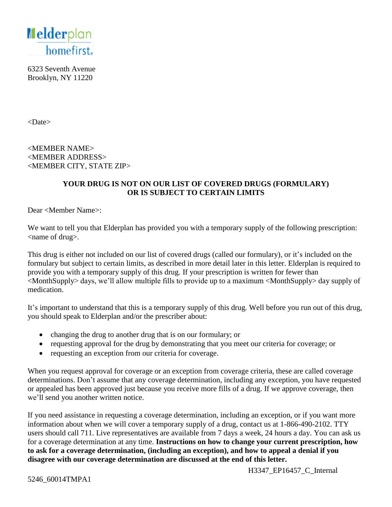

6323 Seventh Avenue Brooklyn, NY 11220

<Date>

<MEMBER NAME> <MEMBER ADDRESS> <MEMBER CITY, STATE ZIP>

#### **YOUR DRUG IS NOT ON OUR LIST OF COVERED DRUGS (FORMULARY) OR IS SUBJECT TO CERTAIN LIMITS**

Dear <Member Name>:

We want to tell you that Elderplan has provided you with a temporary supply of the following prescription: <name of drug>.

This drug is either not included on our list of covered drugs (called our formulary), or it's included on the formulary but subject to certain limits, as described in more detail later in this letter. Elderplan is required to provide you with a temporary supply of this drug. If your prescription is written for fewer than <MonthSupply> days, we'll allow multiple fills to provide up to a maximum <MonthSupply> day supply of medication.

It's important to understand that this is a temporary supply of this drug. Well before you run out of this drug, you should speak to Elderplan and/or the prescriber about:

- changing the drug to another drug that is on our formulary; or
- requesting approval for the drug by demonstrating that you meet our criteria for coverage; or
- requesting an exception from our criteria for coverage.

When you request approval for coverage or an exception from coverage criteria, these are called coverage determinations. Don't assume that any coverage determination, including any exception, you have requested or appealed has been approved just because you receive more fills of a drug. If we approve coverage, then we'll send you another written notice.

If you need assistance in requesting a coverage determination, including an exception, or if you want more information about when we will cover a temporary supply of a drug, contact us at 1-866-490-2102. TTY users should call 711. Live representatives are available from 7 days a week, 24 hours a day. You can ask us for a coverage determination at any time. **Instructions on how to change your current prescription, how to ask for a coverage determination, (including an exception), and how to appeal a denial if you disagree with our coverage determination are discussed at the end of this letter.** 

H3347 EP16457 C Internal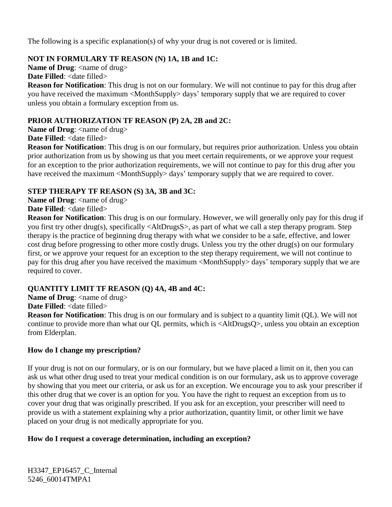The following is a specific explanation(s) of why your drug is not covered or is limited.

# **NOT IN FORMULARY TF REASON (N) 1A, 1B and 1C:**

**Name of Drug:** <name of drug>

**Date Filled:** <date filled>

**Reason for Notification**: This drug is not on our formulary. We will not continue to pay for this drug after you have received the maximum <MonthSupply> days' temporary supply that we are required to cover unless you obtain a formulary exception from us.

## **PRIOR AUTHORIZATION TF REASON (P) 2A, 2B and 2C:**

**Name of Drug:** <name of drug> **Date Filled:** <date filled>

**Reason for Notification**: This drug is on our formulary, but requires prior authorization. Unless you obtain prior authorization from us by showing us that you meet certain requirements, or we approve your request for an exception to the prior authorization requirements, we will not continue to pay for this drug after you have received the maximum <MonthSupply> days' temporary supply that we are required to cover.

## **STEP THERAPY TF REASON (S) 3A, 3B and 3C:**

**Name of Drug:** <name of drug> **Date Filled:** <date filled>

**Reason for Notification**: This drug is on our formulary. However, we will generally only pay for this drug if you first try other drug(s), specifically <AltDrugsS>, as part of what we call a step therapy program. Step therapy is the practice of beginning drug therapy with what we consider to be a safe, effective, and lower cost drug before progressing to other more costly drugs. Unless you try the other drug(s) on our formulary first, or we approve your request for an exception to the step therapy requirement, we will not continue to pay for this drug after you have received the maximum <MonthSupply> days' temporary supply that we are required to cover.

# **QUANTITY LIMIT TF REASON (Q) 4A, 4B and 4C:**

**Name of Drug:** <name of drug>

**Date Filled:** <date filled>

**Reason for Notification**: This drug is on our formulary and is subject to a quantity limit (QL). We will not continue to provide more than what our QL permits, which is <AltDrugsQ>, unless you obtain an exception from Elderplan.

# **How do I change my prescription?**

If your drug is not on our formulary, or is on our formulary, but we have placed a limit on it, then you can ask us what other drug used to treat your medical condition is on our formulary, ask us to approve coverage by showing that you meet our criteria, or ask us for an exception. We encourage you to ask your prescriber if this other drug that we cover is an option for you. You have the right to request an exception from us to cover your drug that was originally prescribed. If you ask for an exception, your prescriber will need to provide us with a statement explaining why a prior authorization, quantity limit, or other limit we have placed on your drug is not medically appropriate for you.

# **How do I request a coverage determination, including an exception?**

H3347\_EP16457\_C\_Internal 5246\_60014TMPA1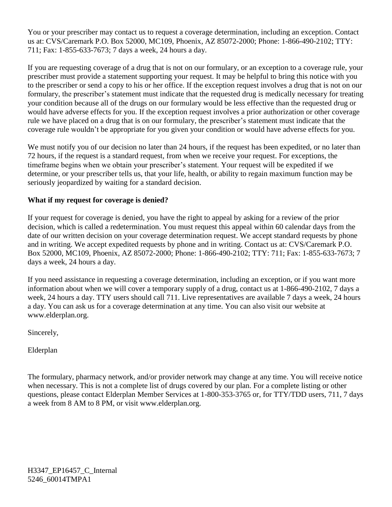You or your prescriber may contact us to request a coverage determination, including an exception. Contact us at: CVS/Caremark P.O. Box 52000, MC109, Phoenix, AZ 85072-2000; Phone: 1-866-490-2102; TTY: 711; Fax: 1-855-633-7673; 7 days a week, 24 hours a day.

If you are requesting coverage of a drug that is not on our formulary, or an exception to a coverage rule, your prescriber must provide a statement supporting your request. It may be helpful to bring this notice with you to the prescriber or send a copy to his or her office. If the exception request involves a drug that is not on our formulary, the prescriber's statement must indicate that the requested drug is medically necessary for treating your condition because all of the drugs on our formulary would be less effective than the requested drug or would have adverse effects for you. If the exception request involves a prior authorization or other coverage rule we have placed on a drug that is on our formulary, the prescriber's statement must indicate that the coverage rule wouldn't be appropriate for you given your condition or would have adverse effects for you.

We must notify you of our decision no later than 24 hours, if the request has been expedited, or no later than 72 hours, if the request is a standard request, from when we receive your request. For exceptions, the timeframe begins when we obtain your prescriber's statement. Your request will be expedited if we determine, or your prescriber tells us, that your life, health, or ability to regain maximum function may be seriously jeopardized by waiting for a standard decision.

## **What if my request for coverage is denied?**

If your request for coverage is denied, you have the right to appeal by asking for a review of the prior decision, which is called a redetermination. You must request this appeal within 60 calendar days from the date of our written decision on your coverage determination request. We accept standard requests by phone and in writing. We accept expedited requests by phone and in writing. Contact us at: CVS/Caremark P.O. Box 52000, MC109, Phoenix, AZ 85072-2000; Phone: 1-866-490-2102; TTY: 711; Fax: 1-855-633-7673; 7 days a week, 24 hours a day.

If you need assistance in requesting a coverage determination, including an exception, or if you want more information about when we will cover a temporary supply of a drug, contact us at 1-866-490-2102, 7 days a week, 24 hours a day. TTY users should call 711. Live representatives are available 7 days a week, 24 hours a day. You can ask us for a coverage determination at any time. You can also visit our website at www.elderplan.org.

Sincerely,

Elderplan

The formulary, pharmacy network, and/or provider network may change at any time. You will receive notice when necessary. This is not a complete list of drugs covered by our plan. For a complete listing or other questions, please contact Elderplan Member Services at 1-800-353-3765 or, for TTY/TDD users, 711, 7 days a week from 8 AM to 8 PM, or visit www.elderplan.org.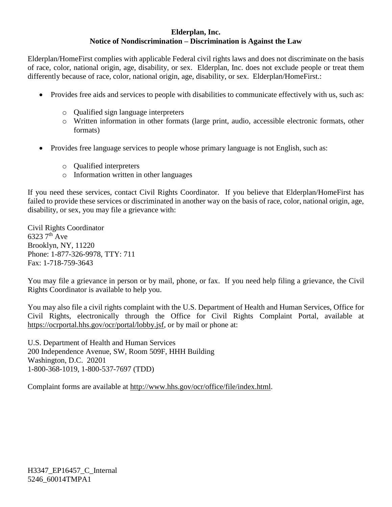#### **Elderplan, Inc. Notice of Nondiscrimination – Discrimination is Against the Law**

Elderplan/HomeFirst complies with applicable Federal civil rights laws and does not discriminate on the basis of race, color, national origin, age, disability, or sex. Elderplan, Inc. does not exclude people or treat them differently because of race, color, national origin, age, disability, or sex. Elderplan/HomeFirst.:

- Provides free aids and services to people with disabilities to communicate effectively with us, such as:
	- o Qualified sign language interpreters
	- o Written information in other formats (large print, audio, accessible electronic formats, other formats)
- Provides free language services to people whose primary language is not English, such as:
	- o Qualified interpreters
	- o Information written in other languages

If you need these services, contact Civil Rights Coordinator. If you believe that Elderplan/HomeFirst has failed to provide these services or discriminated in another way on the basis of race, color, national origin, age, disability, or sex, you may file a grievance with:

Civil Rights Coordinator 6323 7th Ave Brooklyn, NY, 11220 Phone: 1-877-326-9978, TTY: 711 Fax: 1-718-759-3643

You may file a grievance in person or by mail, phone, or fax. If you need help filing a grievance, the Civil Rights Coordinator is available to help you.

You may also file a civil rights complaint with the U.S. Department of Health and Human Services, Office for Civil Rights, electronically through the Office for Civil Rights Complaint Portal, available at [https://ocrportal.hhs.gov/ocr/portal/lobby.jsf,](https://ocrportal.hhs.gov/ocr/portal/lobby.jsf) or by mail or phone at:

U.S. Department of Health and Human Services 200 Independence Avenue, SW, Room 509F, HHH Building Washington, D.C. 20201 1-800-368-1019, 1-800-537-7697 (TDD)

Complaint forms are available at [http://www.hhs.gov/ocr/office/file/index.html.](http://www.hhs.gov/ocr/office/file/index.html)